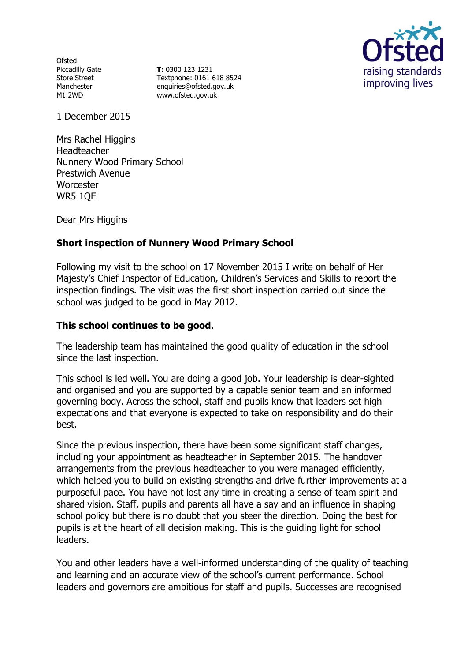**Ofsted** Piccadilly Gate Store Street Manchester M1 2WD

**T:** 0300 123 1231 Textphone: 0161 618 8524 enquiries@ofsted.gov.uk www.ofsted.gov.uk



1 December 2015

Mrs Rachel Higgins Headteacher Nunnery Wood Primary School Prestwich Avenue **Worcester** WR5 1QE

Dear Mrs Higgins

## **Short inspection of Nunnery Wood Primary School**

Following my visit to the school on 17 November 2015 I write on behalf of Her Majesty's Chief Inspector of Education, Children's Services and Skills to report the inspection findings. The visit was the first short inspection carried out since the school was judged to be good in May 2012.

#### **This school continues to be good.**

The leadership team has maintained the good quality of education in the school since the last inspection.

This school is led well. You are doing a good job. Your leadership is clear-sighted and organised and you are supported by a capable senior team and an informed governing body. Across the school, staff and pupils know that leaders set high expectations and that everyone is expected to take on responsibility and do their best.

Since the previous inspection, there have been some significant staff changes, including your appointment as headteacher in September 2015. The handover arrangements from the previous headteacher to you were managed efficiently, which helped you to build on existing strengths and drive further improvements at a purposeful pace. You have not lost any time in creating a sense of team spirit and shared vision. Staff, pupils and parents all have a say and an influence in shaping school policy but there is no doubt that you steer the direction. Doing the best for pupils is at the heart of all decision making. This is the guiding light for school leaders.

You and other leaders have a well-informed understanding of the quality of teaching and learning and an accurate view of the school's current performance. School leaders and governors are ambitious for staff and pupils. Successes are recognised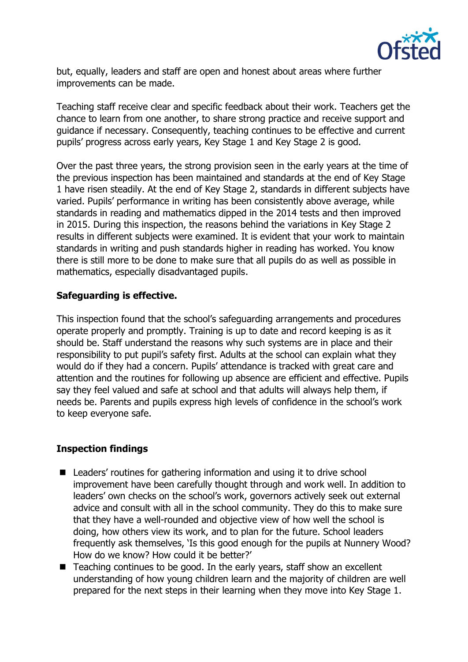

but, equally, leaders and staff are open and honest about areas where further improvements can be made.

Teaching staff receive clear and specific feedback about their work. Teachers get the chance to learn from one another, to share strong practice and receive support and guidance if necessary. Consequently, teaching continues to be effective and current pupils' progress across early years, Key Stage 1 and Key Stage 2 is good.

Over the past three years, the strong provision seen in the early years at the time of the previous inspection has been maintained and standards at the end of Key Stage 1 have risen steadily. At the end of Key Stage 2, standards in different subjects have varied. Pupils' performance in writing has been consistently above average, while standards in reading and mathematics dipped in the 2014 tests and then improved in 2015. During this inspection, the reasons behind the variations in Key Stage 2 results in different subjects were examined. It is evident that your work to maintain standards in writing and push standards higher in reading has worked. You know there is still more to be done to make sure that all pupils do as well as possible in mathematics, especially disadvantaged pupils.

## **Safeguarding is effective.**

This inspection found that the school's safeguarding arrangements and procedures operate properly and promptly. Training is up to date and record keeping is as it should be. Staff understand the reasons why such systems are in place and their responsibility to put pupil's safety first. Adults at the school can explain what they would do if they had a concern. Pupils' attendance is tracked with great care and attention and the routines for following up absence are efficient and effective. Pupils say they feel valued and safe at school and that adults will always help them, if needs be. Parents and pupils express high levels of confidence in the school's work to keep everyone safe.

# **Inspection findings**

- Leaders' routines for gathering information and using it to drive school improvement have been carefully thought through and work well. In addition to leaders' own checks on the school's work, governors actively seek out external advice and consult with all in the school community. They do this to make sure that they have a well-rounded and objective view of how well the school is doing, how others view its work, and to plan for the future. School leaders frequently ask themselves, 'Is this good enough for the pupils at Nunnery Wood? How do we know? How could it be better?'
- Teaching continues to be good. In the early years, staff show an excellent understanding of how young children learn and the majority of children are well prepared for the next steps in their learning when they move into Key Stage 1.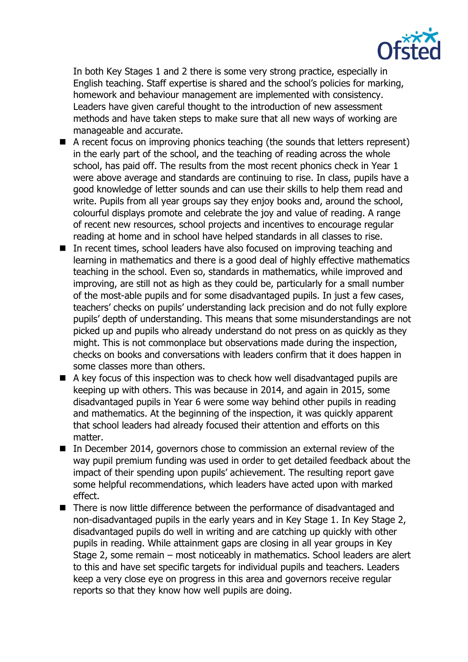

In both Key Stages 1 and 2 there is some very strong practice, especially in English teaching. Staff expertise is shared and the school's policies for marking, homework and behaviour management are implemented with consistency. Leaders have given careful thought to the introduction of new assessment methods and have taken steps to make sure that all new ways of working are manageable and accurate.

- A recent focus on improving phonics teaching (the sounds that letters represent) in the early part of the school, and the teaching of reading across the whole school, has paid off. The results from the most recent phonics check in Year 1 were above average and standards are continuing to rise. In class, pupils have a good knowledge of letter sounds and can use their skills to help them read and write. Pupils from all year groups say they enjoy books and, around the school, colourful displays promote and celebrate the joy and value of reading. A range of recent new resources, school projects and incentives to encourage regular reading at home and in school have helped standards in all classes to rise.
- In recent times, school leaders have also focused on improving teaching and learning in mathematics and there is a good deal of highly effective mathematics teaching in the school. Even so, standards in mathematics, while improved and improving, are still not as high as they could be, particularly for a small number of the most-able pupils and for some disadvantaged pupils. In just a few cases, teachers' checks on pupils' understanding lack precision and do not fully explore pupils' depth of understanding. This means that some misunderstandings are not picked up and pupils who already understand do not press on as quickly as they might. This is not commonplace but observations made during the inspection, checks on books and conversations with leaders confirm that it does happen in some classes more than others.
- A key focus of this inspection was to check how well disadvantaged pupils are keeping up with others. This was because in 2014, and again in 2015, some disadvantaged pupils in Year 6 were some way behind other pupils in reading and mathematics. At the beginning of the inspection, it was quickly apparent that school leaders had already focused their attention and efforts on this matter.
- In December 2014, governors chose to commission an external review of the way pupil premium funding was used in order to get detailed feedback about the impact of their spending upon pupils' achievement. The resulting report gave some helpful recommendations, which leaders have acted upon with marked effect.
- There is now little difference between the performance of disadvantaged and non-disadvantaged pupils in the early years and in Key Stage 1. In Key Stage 2, disadvantaged pupils do well in writing and are catching up quickly with other pupils in reading. While attainment gaps are closing in all year groups in Key Stage 2, some remain – most noticeably in mathematics. School leaders are alert to this and have set specific targets for individual pupils and teachers. Leaders keep a very close eye on progress in this area and governors receive regular reports so that they know how well pupils are doing.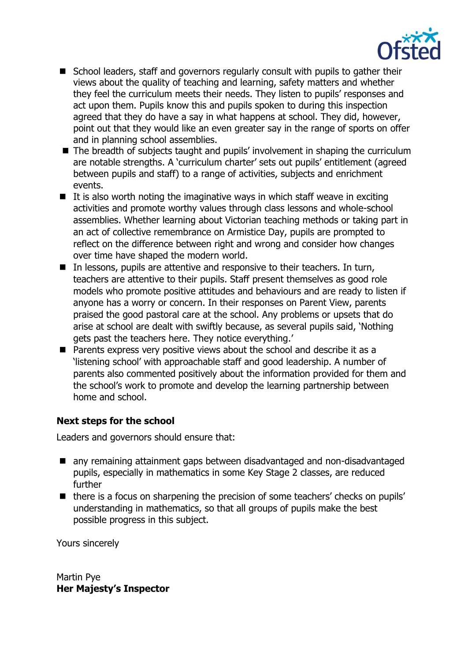

- School leaders, staff and governors regularly consult with pupils to gather their views about the quality of teaching and learning, safety matters and whether they feel the curriculum meets their needs. They listen to pupils' responses and act upon them. Pupils know this and pupils spoken to during this inspection agreed that they do have a say in what happens at school. They did, however, point out that they would like an even greater say in the range of sports on offer and in planning school assemblies.
- The breadth of subjects taught and pupils' involvement in shaping the curriculum are notable strengths. A 'curriculum charter' sets out pupils' entitlement (agreed between pupils and staff) to a range of activities, subjects and enrichment events.
- $\blacksquare$  It is also worth noting the imaginative ways in which staff weave in exciting activities and promote worthy values through class lessons and whole-school assemblies. Whether learning about Victorian teaching methods or taking part in an act of collective remembrance on Armistice Day, pupils are prompted to reflect on the difference between right and wrong and consider how changes over time have shaped the modern world.
- $\blacksquare$  In lessons, pupils are attentive and responsive to their teachers. In turn, teachers are attentive to their pupils. Staff present themselves as good role models who promote positive attitudes and behaviours and are ready to listen if anyone has a worry or concern. In their responses on Parent View, parents praised the good pastoral care at the school. Any problems or upsets that do arise at school are dealt with swiftly because, as several pupils said, 'Nothing gets past the teachers here. They notice everything.'
- **Parents express very positive views about the school and describe it as a** 'listening school' with approachable staff and good leadership. A number of parents also commented positively about the information provided for them and the school's work to promote and develop the learning partnership between home and school.

# **Next steps for the school**

Leaders and governors should ensure that:

- any remaining attainment gaps between disadvantaged and non-disadvantaged pupils, especially in mathematics in some Key Stage 2 classes, are reduced further
- $\blacksquare$  there is a focus on sharpening the precision of some teachers' checks on pupils' understanding in mathematics, so that all groups of pupils make the best possible progress in this subject.

Yours sincerely

Martin Pye **Her Majesty's Inspector**